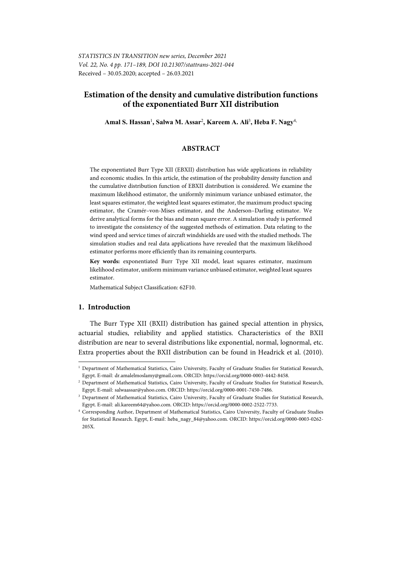# **Estimation of the density and cumulative distribution functions of the exponentiated Burr XII distribution**

**Amal S. Hassan**<sup>1</sup> **, Salwa M. Assar**<sup>2</sup> **, Kareem A. Ali**<sup>3</sup> **, Heba F. Nagy**4,

### **ABSTRACT**

The exponentiated Burr Type XII (EBXII) distribution has wide applications in reliability and economic studies. In this article, the estimation of the probability density function and the cumulative distribution function of EBXII distribution is considered. We examine the maximum likelihood estimator, the uniformly minimum variance unbiased estimator, the least squares estimator, the weighted least squares estimator, the maximum product spacing estimator, the Cramér–von-Mises estimator, and the Anderson–Darling estimator. We derive analytical forms for the bias and mean square error. A simulation study is performed to investigate the consistency of the suggested methods of estimation. Data relating to the wind speed and service times of aircraft windshields are used with the studied methods. The simulation studies and real data applications have revealed that the maximum likelihood estimator performs more efficiently than its remaining counterparts.

**Key words:** exponentiated Burr Type XII model, least squares estimator, maximum likelihood estimator, uniform minimum variance unbiased estimator, weighted least squares estimator.

Mathematical Subject Classification: 62F10.

## **1. Introduction**

l

The Burr Type XII (BXII) distribution has gained special attention in physics, actuarial studies, reliability and applied statistics. Characteristics of the BXII distribution are near to several distributions like exponential, normal, lognormal, etc. Extra properties about the BXII distribution can be found in Headrick et al. (2010).

<sup>1</sup> Department of Mathematical Statistics, Cairo University, Faculty of Graduate Studies for Statistical Research, Egypt. E-mail: dr.amalelmoslamy@gmail.com. ORCID: https://orcid.org/0000-0003-4442-8458. 2

Department of Mathematical Statistics, Cairo University, Faculty of Graduate Studies for Statistical Research, Egypt. E-mail: salwaassar@yahoo.com. ORCID: https://orcid.org/0000-0001-7450-7486. 3

Department of Mathematical Statistics, Cairo University, Faculty of Graduate Studies for Statistical Research, Egypt. E-mail: ali.kareem64@yahoo.com. ORCID: https://orcid.org/0000-0002-2522-7733. 4 Corresponding Author, Department of Mathematical Statistics, Cairo University, Faculty of Graduate Studies

for Statistical Research. Egypt, E-mail: heba\_nagy\_84@yahoo.com. ORCID: https://orcid.org/0000-0003-0262- 205X.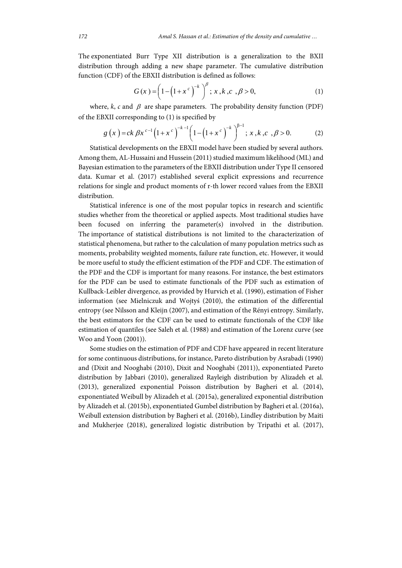The exponentiated Burr Type XII distribution is a generalization to the BXII distribution through adding a new shape parameter. The cumulative distribution function (CDF) of the EBXII distribution is defined as follows:

$$
G(x) = \left(1 - \left(1 + x^c\right)^{-k}\right)^{\beta}; \, x, k, c, \beta > 0, \tag{1}
$$

where,  $k$ ,  $c$  and  $\beta$  are shape parameters. The probability density function (PDF) of the EBXII corresponding to (1) is specified by

$$
g(x) = ck \beta x^{c-1} (1+x^c)^{-k-1} (1-(1+x^c)^{-k})^{\beta-1}; x, k, c, \beta > 0.
$$
 (2)

Statistical developments on the EBXII model have been studied by several authors. Among them, AL-Hussaini and Hussein (2011) studied maximum likelihood (ML) and Bayesian estimation to the parameters of the EBXII distribution under Type II censored data. Kumar et al. (2017) established several explicit expressions and recurrence relations for single and product moments of r-th lower record values from the EBXII distribution.

Statistical inference is one of the most popular topics in research and scientific studies whether from the theoretical or applied aspects. Most traditional studies have been focused on inferring the parameter(s) involved in the distribution. The importance of statistical distributions is not limited to the characterization of statistical phenomena, but rather to the calculation of many population metrics such as moments, probability weighted moments, failure rate function, etc. However, it would be more useful to study the efficient estimation of the PDF and CDF. The estimation of the PDF and the CDF is important for many reasons. For instance, the best estimators for the PDF can be used to estimate functionals of the PDF such as estimation of Kullback-Leibler divergence, as provided by Hurvich et al. (1990), estimation of Fisher information (see Mielniczuk and Wojtyś (2010), the estimation of the differential entropy (see Nilsson and Kleijn (2007), and estimation of the Rényi entropy. Similarly, the best estimators for the CDF can be used to estimate functionals of the CDF like estimation of quantiles (see Saleh et al. (1988) and estimation of the Lorenz curve (see Woo and Yoon (2001)).

Some studies on the estimation of PDF and CDF have appeared in recent literature for some continuous distributions, for instance, Pareto distribution by Asrabadi (1990) and (Dixit and Nooghabi (2010), Dixit and Nooghabi (2011)), exponentiated Pareto distribution by Jabbari (2010), generalized Rayleigh distribution by Alizadeh et al. (2013), generalized exponential Poisson distribution by Bagheri et al. (2014), exponentiated Weibull by Alizadeh et al. (2015a), generalized exponential distribution by Alizadeh et al. (2015b), exponentiated Gumbel distribution by Bagheri et al. (2016a), Weibull extension distribution by Bagheri et al. (2016b), Lindley distribution by Maiti and Mukherjee (2018), generalized logistic distribution by Tripathi et al. (2017),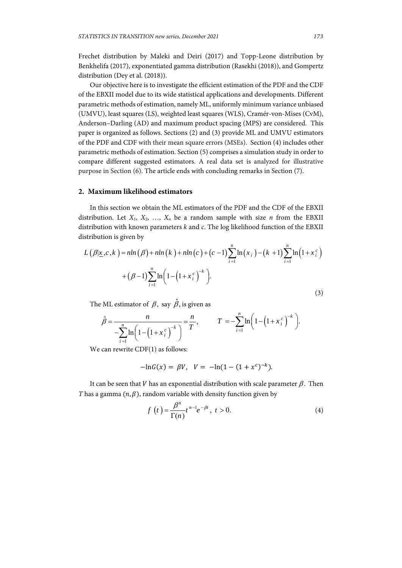Frechet distribution by Maleki and Deiri (2017) and Topp-Leone distribution by Benkhelifa (2017), exponentiated gamma distribution (Rasekhi (2018)), and Gompertz distribution (Dey et al. (2018)).

Our objective here is to investigate the efficient estimation of the PDF and the CDF of the EBXII model due to its wide statistical applications and developments. Different parametric methods of estimation, namely ML, uniformly minimum variance unbiased (UMVU), least squares (LS), weighted least squares (WLS), Cramér-von-Mises (CvM), Anderson–Darling (AD) and maximum product spacing (MPS) are considered. This paper is organized as follows. Sections (2) and (3) provide ML and UMVU estimators of the PDF and CDF with their mean square errors (MSEs). Section (4) includes other parametric methods of estimation. Section (5) comprises a simulation study in order to compare different suggested estimators. A real data set is analyzed for illustrative purpose in Section (6). The article ends with concluding remarks in Section (7).

#### **2. Maximum likelihood estimators**

In this section we obtain the ML estimators of the PDF and the CDF of the EBXII distribution. Let  $X_1, X_2, \ldots, X_n$  be a random sample with size *n* from the EBXII distribution with known parameters *k* and *c*. The log likelihood function of the EBXII distribution is given by

$$
L(\beta | \underline{x}, c, k) = n \ln(\beta) + n \ln(k) + n \ln(c) + (c - 1) \sum_{i=1}^{n} \ln(x_i) - (k + 1) \sum_{i=1}^{n} \ln(1 + x_i^c) + (\beta - 1) \sum_{i=1}^{n} \ln(1 - (1 + x_i^c)^{-k}).
$$
\n(3)

The ML estimator of  $\beta$ , say  $\hat{\beta}$ , is given as

$$
\hat{\beta} = \frac{n}{-\sum_{i=1}^{n} \ln\left(1 - \left(1 + x_i^c\right)^{-k}\right)} = \frac{n}{T}, \qquad T = -\sum_{i=1}^{n} \ln\left(1 - \left(1 + x_i^c\right)^{-k}\right).
$$

We can rewrite CDF(1) as follows:

$$
-\ln G(x) = \beta V, \quad V = -\ln(1 - (1 + x^c)^{-k}).
$$

It can be seen that V has an exponential distribution with scale parameter  $\beta$ . Then *T* has a gamma  $(n, \beta)$ , random variable with density function given by

$$
f(t) = \frac{\beta^n}{\Gamma(n)} t^{n-1} e^{-\beta t}, \ t > 0.
$$
 (4)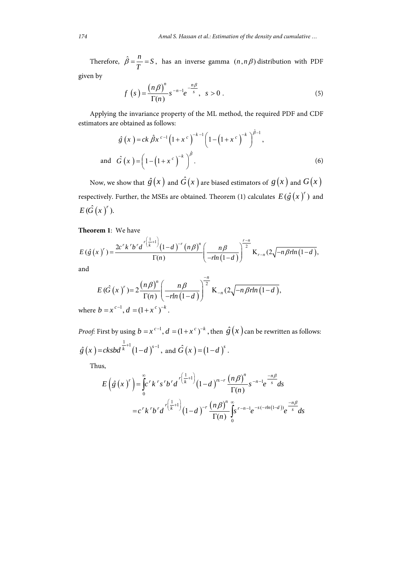Therefore,  $\hat{\beta} = \frac{n}{T} = S$ , has an inverse gamma  $(n, n, \beta)$  distribution with PDF given by

$$
f\left(s\right) = \frac{\left(n\beta\right)^n}{\Gamma(n)} s^{-n-1} e^{-\frac{n\beta}{s}}, \quad s > 0 \tag{5}
$$

Applying the invariance property of the ML method, the required PDF and CDF estimators are obtained as follows:

$$
\hat{g}(x) = ck \hat{\beta} x^{c-1} \left(1 + x^c\right)^{-k-1} \left(1 - \left(1 + x^c\right)^{-k}\right)^{\hat{\beta}-1},
$$
\nand 
$$
\hat{G}(x) = \left(1 - \left(1 + x^c\right)^{-k}\right)^{\hat{\beta}}.
$$
\n(6)

Now, we show that  $\hat{g}(x)$  and  $\hat{G}(x)$  are biased estimators of  $g(x)$  and  $G(x)$ respectively. Further, the MSEs are obtained. Theorem (1) calculates  $E(\hat{g}(x)')$  and  $E(\hat{G}(x)^{r}).$ 

## **Theorem 1**: We have

$$
E(\hat{g}(x)^{r}) = \frac{2c^{r}k^{r}b^{r}d^{r(\frac{1}{k}+1)}(1-d)^{-r}(n\beta)^{n}}{\Gamma(n)} \left(\frac{n\beta}{-rln(1-d)}\right)^{r-n} K_{r-n}(2\sqrt{-n\beta rln(1-d)},
$$

and

$$
E\left(\hat{G}\left(x\right)^{r}\right) = 2\frac{\left(n\beta\right)^{n}}{\Gamma(n)}\left(\frac{n\beta}{-r\ln\left(1-d\right)}\right)^{\frac{-n}{2}}\text{K}_{-n}\left(2\sqrt{-n\beta r\ln\left(1-d\right)},\right)
$$

where  $b = x^{c-1}$ ,  $d = (1 + x^c)^{-k}$ .

*Proof:* First by using  $b = x^{c-1}$ ,  $d = (1 + x^c)^{-k}$ , then  $\hat{g}(x)$  can be rewritten as follows:  $\hat{g}(x) = cksbd^{\frac{1}{k}+1}(1-d)^{s-1}$ , and  $\hat{G}(x) = (1-d)^s$ .

Thus,

$$
E\left(\hat{g}(x)^{r}\right) = \int_{0}^{\infty} c^{r} k^{r} s^{r} b^{r} d^{r\left(\frac{1}{k}+1\right)} (1-d)^{rs-r} \frac{\left(n\beta\right)^{n}}{\Gamma(n)} s^{-n-1} e^{\frac{-n\beta}{s}} ds
$$
  

$$
= c^{r} k^{r} b^{r} d^{r\left(\frac{1}{k}+1\right)} (1-d)^{-r} \frac{\left(n\beta\right)^{n}}{\Gamma(n)} \int_{0}^{\infty} s^{r-n-1} e^{-s(-rln(1-d))} e^{\frac{-n\beta}{s}} ds
$$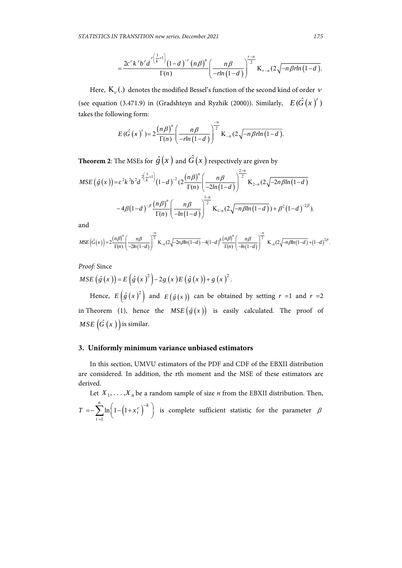$$
=\frac{2c^{r}k^{r}b^{r}d^{r(\frac{1}{k}+1)}(1-d)^{r}(n\beta)^{n}}{\Gamma(n)}\left(\frac{n\beta}{-rln(1-d)}\right)^{\frac{r-n}{2}}K_{r-n}(2\sqrt{-n\beta rln(1-d)}.
$$

Here,  $K_{\nu}$ (.) denotes the modified Bessel's function of the second kind of order  $\nu$ (see equation (3.471.9) in (Gradshteyn and Ryzhik (2000)). Similarly,  $E(\hat{G}(x)')$ takes the following form:

$$
E(\hat{G}(x)^{r})=2\frac{(n\beta)^{n}}{\Gamma(n)}\left(\frac{n\beta}{-rln(1-d)}\right)^{\frac{n}{2}}K_{-n}(2\sqrt{-n\beta rln(1-d)}).
$$

**Theorem 2**: The MSEs for  $\hat{g}(x)$  and  $\hat{G}(x)$  respectively are given by

$$
MSE\left(\hat{g}(x)\right) = c^2 k^2 b^2 d^{2\left(\frac{1}{k}+1\right)} (1-d)^{-2} (2\frac{(n\beta)^n}{\Gamma(n)} \left(\frac{n\beta}{-2ln(1-d)}\right)^{2-n} K_{2-n} (2\sqrt{-2n\beta ln(1-d)})
$$

$$
-4\beta (1-d)^{-\beta} \frac{(n\beta)^n}{\Gamma(n)} \left(\frac{n\beta}{-ln(1-d)}\right)^{1-n} K_{1-n} (2\sqrt{-n\beta ln(1-d)}) + \beta^2 (1-d)^{-2\beta}).
$$

and

$$
MSE\left(\hat{G}(x)\right) = 2\frac{\left(n\beta\right)^n}{\Gamma(n)} \left(\frac{n\beta}{-2ln(1-d)}\right)^{-\frac{n}{2}} K_{-n}(2\sqrt{-2n\beta ln(1-d)} - 4(1-d)^{\beta}\frac{\left(n\beta\right)^n}{\Gamma(n)} \left(\frac{n\beta}{-ln(1-d)}\right)^{-\frac{n}{2}} K_{-n}(2\sqrt{-n\beta ln(1-d)} + (1-d)^{2\beta}.
$$

*Proof:* Since

$$
MSE\left(\hat{g}\left(x\right)\right)=E\left(\hat{g}\left(x\right)^{2}\right)-2g\left(x\right)E\left(\hat{g}\left(x\right)\right)+g\left(x\right)^{2}.
$$

Hence,  $E(g(x)^2)$  and  $E(g(x))$  can be obtained by setting  $r = 1$  and  $r = 2$ in Theorem (1), hence the  $MSE(\hat{g}(x))$  is easily calculated. The proof of  $MSE\left(\hat{G}\left(x\right)\right)$  is similar.

#### **3. Uniformly minimum variance unbiased estimators**

In this section, UMVU estimators of the PDF and CDF of the EBXII distribution are considered. In addition, the rth moment and the MSE of these estimators are derived.

Let  $X_1, \ldots, X_n$  be a random sample of size *n* from the EBXII distribution. Then,  $(1+x_i^{\mathfrak{c}})$ 1  $\sum_{i=1}^{n} \ln \left( 1 - \left( 1 + x_i^c \right) \right)^{-k}$ *i*  $T = -\sum_{i=1}^{n} \ln \left(1 - \left(1 + x_i^c\right)\right)^{-1}$  $=-\sum_{i=1}^{n}\ln\left(1-\left(1+x_i^c\right)^{-k}\right)$  is complete sufficient statistic for the parameter  $\beta$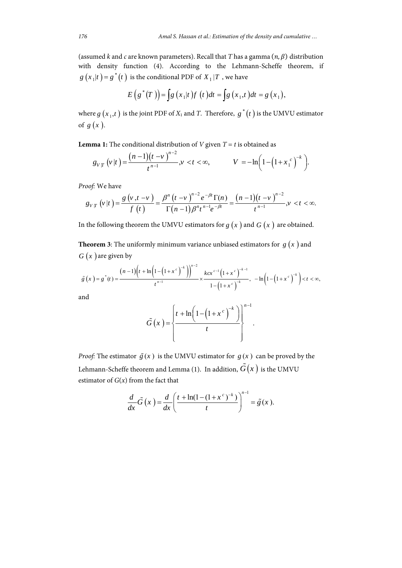(assumed *k* and *c* are known parameters). Recall that *T* has a gamma  $(n, \beta)$  distribution with density function (4). According to the Lehmann-Scheffe theorem, if  $g(x_1|t) = g^*(t)$  is the conditional PDF of  $X_1 | T$ , we have

$$
E(g^*(T)) = \int g(x_1|t) f(t) dt = \int g(x_1,t) dt = g(x_1),
$$

where  $g(x_1, t)$  is the joint PDF of  $X_1$  and  $T$ . Therefore,  $g^*(t)$  is the UMVU estimator of  $g(x)$ .

**Lemma 1:** The conditional distribution of *V* given  $T = t$  is obtained as

$$
g_{V|T}\left(v|t\right) = \frac{(n-1)(t-v)^{n-2}}{t^{n-1}}, v < t < \infty, \qquad V = -\ln\left(1-\left(1+x_1^c\right)^{-k}\right).
$$

*Proof:* We have

$$
g_{V|T}(v|t) = \frac{g(v,t-v)}{f(t)} = \frac{\beta^{n}(t-v)^{n-2}e^{-\beta t}\Gamma(n)}{\Gamma(n-1)\beta^{n}t^{n-1}e^{-\beta t}} = \frac{(n-1)(t-v)^{n-2}}{t^{n-1}}, v < t < \infty.
$$

In the following theorem the UMVU estimators for  $g(x)$  and  $G(x)$  are obtained.

**Theorem 3**: The uniformly minimum variance unbiased estimators for  $g(x)$  and  $G(x)$  are given by

$$
\tilde{g}(x) = g^*(t) = \frac{(n-1)\left(t + \ln\left(1 - \left(1 + x^c\right)^{-k}\right)\right)^{n-2}}{t^{n-1}} \times \frac{kcx^{c-1}\left(1 + x^c\right)^{-k-1}}{1 - \left(1 + x^c\right)^{-k}}, \quad -\ln\left(1 - \left(1 + x^c\right)^{-k}\right) < t < \infty,
$$

and

$$
\tilde{G}\left(x\right) = \left\{\frac{t + \ln\left(1 - \left(1 + x^c\right)^{-k}\right)}{t}\right\}^{n-1}.
$$

*Proof:* The estimator  $\tilde{g}(x)$  is the UMVU estimator for  $g(x)$  can be proved by the Lehmann-Scheffe theorem and Lemma (1). In addition,  $\tilde{G}(x)$  is the UMVU estimator of  $G(x)$  from the fact that

$$
\frac{d}{dx}\tilde{G}\left(x\right) = \frac{d}{dx}\left(\frac{t + \ln(1 - (1 + x^c)^{-k})}{t}\right)^{n-1} = \tilde{g}(x).
$$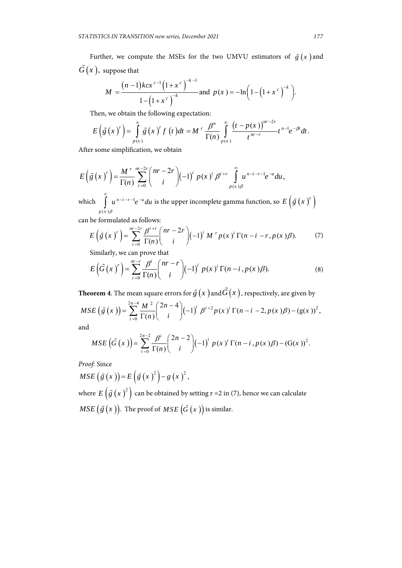Further, we compute the MSEs for the two UMVU estimators of  $\tilde{g}(x)$  and  $\tilde{G}(x)$ , suppose that

$$
M = \frac{(n-1)kcx^{c-1}(1+x^c)^{-k-1}}{1-(1+x^c)^{-k}} \text{ and } p(x) = -\ln\left(1-\left(1+x^c\right)^{-k}\right).
$$

Then, we obtain the following expectation:

$$
E\left(\tilde{g}\left(x\right)^r\right)=\int\limits_{p(x)}^{\infty}\tilde{g}\left(x\right)^rf\left(t\right)dt=M^r\frac{\beta^n}{\Gamma(n)}\int\limits_{p(x)}^{\infty}\frac{\left(t-p(x)\right)^{nr-2r}}{t^{nr-r}}t^{n-1}e^{-\beta t}dt.
$$

After some simplification, we obtain

$$
E\left(\tilde{g}\left(x\right)^r\right) = \frac{M^{r}}{\Gamma(n)} \sum_{i=0}^{nr-2r} {nr-2r \choose i} (-1)^i p(x)^i \beta^{i+r} \int_{p(x)\beta}^{\infty} u^{n-i-r-1} e^{-u} du,
$$

which  $(x)$  $n-i - r - 1 - u$ *p x*  $u^{n-l-r-1}e^{-u}du$ β  $\int\limits_0^\infty u^{n-i-r-1}e^{-u}du$  is the upper incomplete gamma function, so  $E\left(\tilde{g}\left(x\ \right)^r\right)$ 

can be formulated as follows:

$$
E\left(\tilde{g}\left(x\right)^{r}\right) = \sum_{i=0}^{nr-2r} \frac{\beta^{i+r}}{\Gamma(n)} {nr-2r \choose i} (-1)^{i} M^{r} p(x)^{i} \Gamma(n-i-r, p(x)\beta). \tag{7}
$$

Similarly, we can prove that

$$
E\left(\tilde{G}\left(x\right)^r\right) = \sum_{i=0}^{mr-r} \frac{\beta^i}{\Gamma(n)} {nr-r \choose i} (-1)^i p(x)^i \Gamma(n-i, p(x)\beta). \tag{8}
$$

**Theorem 4**. The mean square errors for  $\tilde{g}(x)$  and  $\tilde{G}(x)$ , respectively, are given by

$$
MSE\left(\tilde{g}\left(x\right)\right) = \sum_{i=0}^{2n-4} \frac{M^2}{\Gamma(n)} \binom{2n-4}{i} (-1)^i \beta^{i+2} p(x)^i \Gamma(n-i-2, p(x)\beta) - (g(x))^2,
$$
  
and

a

$$
MSE\left(\tilde{G}\left(x\right)\right) = \sum_{i=0}^{2n-2} \frac{\beta^{i}}{\Gamma(n)} {2n-2 \choose i} (-1)^{i} p(x)^{i} \Gamma(n-i, p(x)\beta) - (G(x))^{2}.
$$

*Proof:* Since

 $MSE\left(\tilde{g}(x)\right) = E\left(\tilde{g}(x)^{2}\right) - g(x)^{2},$ where  $E\left(\tilde{g}(x)^2\right)$  can be obtained by setting r =2 in (7), hence we can calculate

 $MSE\left(\tilde{g}\left(x\right)\right)$ . The proof of  $MSE\left(\tilde{G}\left(x\right)\right)$  is similar.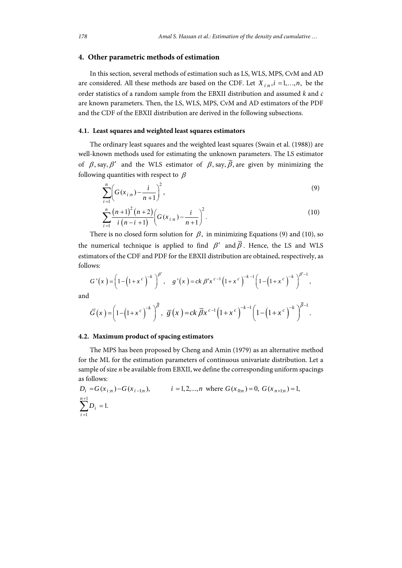### **4. Other parametric methods of estimation**

In this section, several methods of estimation such as LS, WLS, MPS, CvM and AD are considered. All these methods are based on the CDF. Let  $X_{i:n}$ ,  $i = 1,...,n$ , be the order statistics of a random sample from the EBXII distribution and assumed *k* and *c* are known parameters. Then, the LS, WLS, MPS, CvM and AD estimators of the PDF and the CDF of the EBXII distribution are derived in the following subsections.

## **4.1. Least squares and weighted least squares estimators**

The ordinary least squares and the weighted least squares (Swain et al. (1988)) are well-known methods used for estimating the unknown parameters. The LS estimator of  $\beta$ , say,  $\beta'$  and the WLS estimator of  $\beta$ , say,  $\overline{\beta}$ , are given by minimizing the following quantities with respect to  $\beta$ 

$$
\sum_{i=1}^{n} \left( G(x_{i:n}) - \frac{i}{n+1} \right)^2,
$$
\n(9)

$$
\sum_{i=1}^{n} \frac{(n+1)^{2}(n+2)}{i(n-i+1)} \left(G(x_{i:n}) - \frac{i}{n+1}\right)^{2}.
$$
 (10)

There is no closed form solution for  $\beta$ , in minimizing Equations (9) and (10), so the numerical technique is applied to find  $\beta'$  and  $\overline{\beta}$ . Hence, the LS and WLS estimators of the CDF and PDF for the EBXII distribution are obtained, respectively, as follows:

$$
G'(x) = \left(1 - \left(1 + x^c\right)^{-k}\right)^{\beta'}, \quad g'(x) = ck \beta' x^{c-1} \left(1 + x^c\right)^{-k-1} \left(1 - \left(1 + x^c\right)^{-k}\right)^{\beta'-1},
$$
  

$$
\overline{G}(x) = \left(1 - \left(1 + x^c\right)^{-k}\right)^{\overline{\beta}}, \quad \overline{g}(x) = ck \overline{\beta} x^{c-1} \left(1 + x^c\right)^{-k-1} \left(1 - \left(1 + x^c\right)^{-k}\right)^{\overline{\beta}-1}.
$$

and

# **4.2. Maximum product of spacing estimators**

The MPS has been proposed by Cheng and Amin (1979) as an alternative method for the ML for the estimation parameters of continuous univariate distribution. Let a sample of size *n* be available from EBXII, we define the corresponding uniform spacings as follows:

$$
D_i = G(x_{i:n}) - G(x_{i-1:n}), \qquad i = 1, 2, ..., n \text{ where } G(x_{0:n}) = 0, G(x_{n+1:n}) = 1,
$$
  

$$
\sum_{i=1}^{n+1} D_i = 1.
$$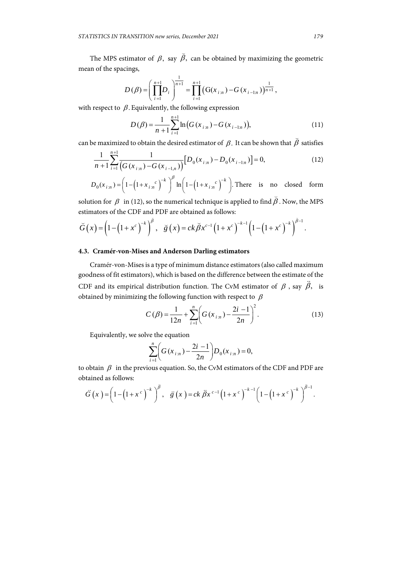The MPS estimator of  $\beta$ , say  $\breve{\beta}$ , can be obtained by maximizing the geometric mean of the spacings,

$$
D(\beta) = \left(\prod_{i=1}^{n+1} D_i\right)^{\frac{1}{n+1}} = \prod_{i=1}^{n+1} \left(G(x_{i:n}) - G(x_{i-1:n})\right)^{\frac{1}{n+1}},
$$

with respect to  $\beta$ . Equivalently, the following expression

$$
D(\beta) = \frac{1}{n+1} \sum_{i=1}^{n+1} \ln(G(x_{i:n}) - G(x_{i-1:n})),
$$
\n(11)

can be maximized to obtain the desired estimator of  $\,\beta.$  It can be shown that  $\,\beta$ satisfies

$$
\frac{1}{n+1} \sum_{i=1}^{n+1} \frac{1}{\left(G(x_{i:n}) - G(x_{i-1,n})\right)} \left[D_0(x_{i:n}) - D_0(x_{i-1,n})\right] = 0,\tag{12}
$$

$$
D_0(x_{i:n}) = \left(1 - \left(1 + x_{i:n}^c\right)^{-k}\right)^\beta \ln\left(1 - \left(1 + x_{i:n}^c\right)^{-k}\right).
$$
 There is no closed form

solution for  $\beta$  in (12), so the numerical technique is applied to find  $\beta$ . Now, the MPS estimators of the CDF and PDF are obtained as follows:

$$
\breve{G}(x) = \left(1 - \left(1 + x^c\right)^{-k}\right)^{\bar{\beta}}, \quad \breve{g}(x) = ck\breve{\beta}x^{c-1}\left(1 + x^c\right)^{-k-1}\left(1 - \left(1 + x^c\right)^{-k}\right)^{\bar{\beta}-1}.
$$

### **4.3. Cramér-von-Mises and Anderson Darling estimators**

Cramér-von-Mises is a type of minimum distance estimators (also called maximum goodness of fit estimators), which is based on the difference between the estimate of the CDF and its empirical distribution function. The CvM estimator of  $\beta$ , say  $\ddot{\beta}$ , is obtained by minimizing the following function with respect to  $\beta$ 

$$
C(\beta) = \frac{1}{12n} + \sum_{i=1}^{n} \left( G(x_{i:n}) - \frac{2i-1}{2n} \right)^2.
$$
 (13)

Equivalently, we solve the equation

$$
\sum_{i=1}^{n} \left( G(x_{i:n}) - \frac{2i-1}{2n} \right) D_0(x_{i:n}) = 0,
$$

to obtain  $\beta$  in the previous equation. So, the CvM estimators of the CDF and PDF are obtained as follows:

$$
\ddot{G}(x) = \left(1 - \left(1 + x^c\right)^{-k}\right)^{\ddot{\beta}}, \quad \ddot{g}(x) = ck \ \ddot{\beta} x^{c-1} \left(1 + x^c\right)^{-k-1} \left(1 - \left(1 + x^c\right)^{-k}\right)^{\ddot{\beta}-1}.
$$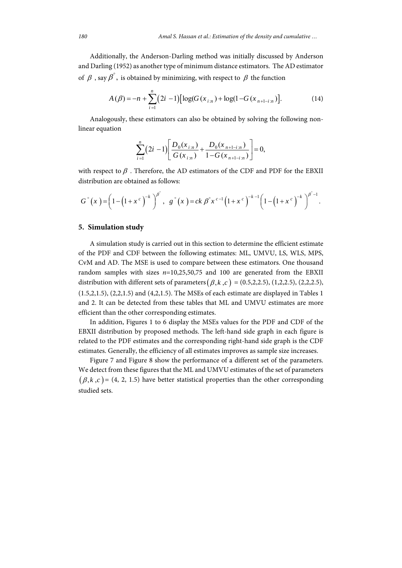Additionally, the Anderson-Darling method was initially discussed by Anderson and Darling (1952) as another type of minimum distance estimators. The AD estimator of  $\beta$  , say  $\beta^{\degree}$ , is obtained by minimizing, with respect to  $\beta$  the function

$$
A(\beta) = -n + \sum_{i=1}^{n} (2i - 1) [\log(G(x_{i:n}) + \log(1 - G(x_{n+1-i:n}))].
$$
 (14)

Analogously, these estimators can also be obtained by solving the following nonlinear equation

$$
\sum_{i=1}^{n} (2i-1) \left[ \frac{D_0(x_{i:n})}{G(x_{i:n})} + \frac{D_0(x_{n+1-i:n})}{1 - G(x_{n+1-i:n})} \right] = 0,
$$

with respect to  $\beta$  . Therefore, the AD estimators of the CDF and PDF for the EBXII distribution are obtained as follows:

$$
G^{\circ}(x) = \left(1 - \left(1 + x^c\right)^{-k}\right)^{\beta^{\circ}}, \ \ g^{\circ}(x) = ck \beta^{\circ} x^{c-1} \left(1 + x^c\right)^{-k-1} \left(1 - \left(1 + x^c\right)^{-k}\right)^{\beta^{\circ}-1}.
$$

#### **5. Simulation study**

A simulation study is carried out in this section to determine the efficient estimate of the PDF and CDF between the following estimates: ML, UMVU, LS, WLS, MPS, CvM and AD. The MSE is used to compare between these estimators. One thousand random samples with sizes *n*=10,25,50,75 and 100 are generated from the EBXII distribution with different sets of parameters  $(\beta, k, c) = (0.5, 2, 2.5), (1, 2, 2.5), (2, 2, 2.5)$ , (1.5,2,1.5), (2,2,1.5) and (4,2,1.5). The MSEs of each estimate are displayed in Tables 1 and 2. It can be detected from these tables that ML and UMVU estimates are more efficient than the other corresponding estimates.

In addition, Figures 1 to 6 display the MSEs values for the PDF and CDF of the EBXII distribution by proposed methods. The left-hand side graph in each figure is related to the PDF estimates and the corresponding right-hand side graph is the CDF estimates. Generally, the efficiency of all estimates improves as sample size increases.

Figure 7 and Figure 8 show the performance of a different set of the parameters. We detect from these figures that the ML and UMVU estimates of the set of parameters  $(\beta, k, c)$  = (4, 2, 1.5) have better statistical properties than the other corresponding studied sets.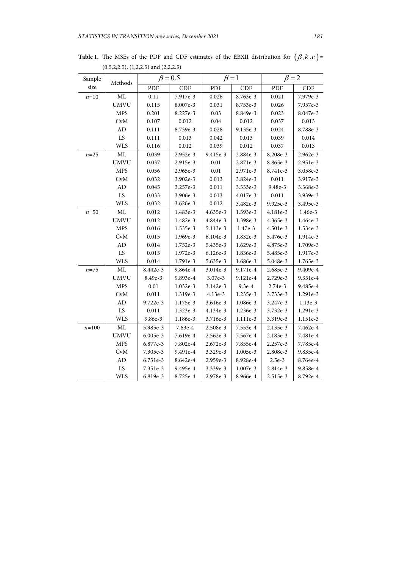| Sample    | Methods     | $\beta = 0.5$ |            | $\beta = 1$ |          | $\beta = 2$ |            |
|-----------|-------------|---------------|------------|-------------|----------|-------------|------------|
| size      |             | PDF           | <b>CDF</b> | PDF         | CDF      | PDF         | <b>CDF</b> |
| $n=10$    | ML          | $0.11\,$      | 7.917e-3   | 0.026       | 8.763e-3 | 0.021       | 7.979e-3   |
|           | <b>UMVU</b> | 0.115         | 8.007e-3   | 0.031       | 8.753e-3 | 0.026       | 7.957e-3   |
|           | <b>MPS</b>  | 0.201         | 8.227e-3   | 0.03        | 8.849e-3 | 0.023       | 8.047e-3   |
|           | CvM         | 0.107         | 0.012      | $0.04\,$    | 0.012    | 0.037       | 0.013      |
|           | AD          | 0.111         | 8.739e-3   | 0.028       | 9.135e-3 | 0.024       | 8.788e-3   |
|           | LS          | 0.111         | 0.013      | 0.042       | 0.013    | 0.039       | 0.014      |
|           | <b>WLS</b>  | 0.116         | 0.012      | 0.039       | 0.012    | 0.037       | 0.013      |
| $n = 25$  | ML          | 0.039         | 2.952e-3   | 9.415e-3    | 2.884e-3 | 8.208e-3    | 2.962e-3   |
|           | <b>UMVU</b> | 0.037         | 2.915e-3   | 0.01        | 2.871e-3 | 8.865e-3    | 2.951e-3   |
|           | <b>MPS</b>  | 0.056         | 2.965e-3   | $0.01\,$    | 2.971e-3 | 8.741e-3    | 3.058e-3   |
|           | <b>CvM</b>  | 0.032         | 3.902e-3   | 0.013       | 3.824e-3 | 0.011       | 3.917e-3   |
|           | AD          | 0.045         | 3.257e-3   | 0.011       | 3.333e-3 | 9.48e-3     | 3.368e-3   |
|           | LS          | 0.033         | 3.906e-3   | 0.013       | 4.017e-3 | 0.011       | 3.939e-3   |
|           | <b>WLS</b>  | 0.032         | 3.626e-3   | 0.012       | 3.482e-3 | 9.925e-3    | 3.495e-3   |
| $n=50$    | $\rm ML$    | 0.012         | 1.483e-3   | 4.635e-3    | 1.393e-3 | 4.181e-3    | 1.46e-3    |
|           | <b>UMVU</b> | 0.012         | 1.482e-3   | 4.844e-3    | 1.398e-3 | 4.365e-3    | 1.464e-3   |
|           | <b>MPS</b>  | 0.016         | 1.535e-3   | 5.113e-3    | 1.47e-3  | 4.501e-3    | 1.534e-3   |
|           | <b>CvM</b>  | 0.015         | 1.969e-3   | 6.104e-3    | 1.832e-3 | 5.476e-3    | 1.914e-3   |
|           | ${\rm AD}$  | 0.014         | 1.752e-3   | 5.435e-3    | 1.629e-3 | 4.875e-3    | 1.709e-3   |
|           | LS          | 0.015         | 1.972e-3   | 6.126e-3    | 1.836e-3 | 5.485e-3    | 1.917e-3   |
|           | <b>WLS</b>  | 0.014         | 1.791e-3   | 5.635e-3    | 1.686e-3 | 5.048e-3    | 1.765e-3   |
| $n = 75$  | ML          | 8.442e-3      | 9.864e-4   | 3.014e-3    | 9.171e-4 | 2.685e-3    | 9.409e-4   |
|           | <b>UMVU</b> | 8.49e-3       | 9.893e-4   | 3.07e-3     | 9.121e-4 | 2.729e-3    | 9.351e-4   |
|           | <b>MPS</b>  | $0.01\,$      | 1.032e-3   | 3.142e-3    | $9.3e-4$ | 2.74e-3     | 9.485e-4   |
|           | CvM         | 0.011         | 1.319e-3   | 4.13e-3     | 1.235e-3 | 3.733e-3    | 1.291e-3   |
|           | ${\rm AD}$  | 9.722e-3      | 1.175e-3   | 3.616e-3    | 1.086e-3 | 3.247e-3    | 1.13e-3    |
|           | LS          | 0.011         | 1.323e-3   | 4.134e-3    | 1.236e-3 | 3.732e-3    | 1.291e-3   |
|           | <b>WLS</b>  | 9.86e-3       | 1.186e-3   | 3.716e-3    | 1.111e-3 | 3.319e-3    | 1.151e-3   |
| $n = 100$ | ML          | 5.985e-3      | 7.63e-4    | 2.508e-3    | 7.553e-4 | 2.135e-3    | 7.462e-4   |
|           | <b>UMVU</b> | 6.005e-3      | 7.619e-4   | 2.562e-3    | 7.567e-4 | 2.183e-3    | 7.481e-4   |
|           | <b>MPS</b>  | 6.877e-3      | 7.802e-4   | 2.672e-3    | 7.855e-4 | 2.257e-3    | 7.785e-4   |
|           | <b>CvM</b>  | 7.305e-3      | 9.491e-4   | 3.329e-3    | 1.005e-3 | 2.808e-3    | 9.835e-4   |
|           | ${\rm AD}$  | 6.731e-3      | 8.642e-4   | 2.959e-3    | 8.928e-4 | $2.5e-3$    | 8.764e-4   |
|           | LS          | 7.351e-3      | 9.495e-4   | 3.339e-3    | 1.007e-3 | 2.814e-3    | 9.858e-4   |
|           | <b>WLS</b>  | 6.819e-3      | 8.725e-4   | 2.978e-3    | 8.966e-4 | 2.515e-3    | 8.792e-4   |

**Table 1.** The MSEs of the PDF and CDF estimates of the EBXII distribution for  $(\beta, k, c)$  = (0.5,2,2.5), (1,2,2.5) and (2,2,2.5)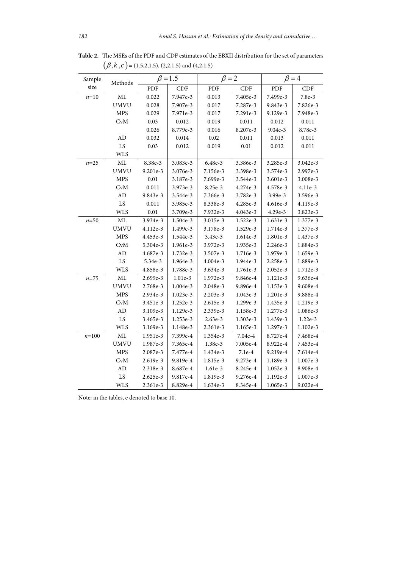| Sample<br>size | Methods     | $\beta$ = 1.5 |            | $\beta = 2$ |          | $\beta = 4$ |          |
|----------------|-------------|---------------|------------|-------------|----------|-------------|----------|
|                |             | PDF           | <b>CDF</b> | PDF         | CDF      | PDF         | CDF      |
| $n=10$         | ML          | 0.022         | 7.947e-3   | 0.013       | 7.405e-3 | 7.499e-3    | 7.8e-3   |
|                | <b>UMVU</b> | 0.028         | 7.907e-3   | 0.017       | 7.287e-3 | 9.843e-3    | 7.826e-3 |
|                | <b>MPS</b>  | 0.029         | 7.971e-3   | 0.017       | 7.291e-3 | 9.129e-3    | 7.948e-3 |
|                | CvM         | 0.03          | 0.012      | 0.019       | 0.011    | 0.012       | 0.011    |
|                |             | 0.026         | 8.779e-3   | 0.016       | 8.207e-3 | 9.04e-3     | 8.78e-3  |
|                | $\mbox{AD}$ | 0.032         | 0.014      | $0.02\,$    | 0.011    | 0.013       | 0.011    |
|                | LS          | 0.03          | 0.012      | 0.019       | $0.01\,$ | 0.012       | 0.011    |
|                | <b>WLS</b>  |               |            |             |          |             |          |
| $n = 25$       | <b>ML</b>   | 8.38e-3       | 3.083e-3   | 6.48e-3     | 3.386e-3 | 3.285e-3    | 3.042e-3 |
|                | <b>UMVU</b> | 9.201e-3      | 3.076e-3   | 7.156e-3    | 3.398e-3 | 3.574e-3    | 2.997e-3 |
|                | <b>MPS</b>  | 0.01          | 3.187e-3   | 7.699e-3    | 3.544e-3 | 3.601e-3    | 3.008e-3 |
|                | <b>CvM</b>  | 0.011         | 3.973e-3   | 8.25e-3     | 4.274e-3 | 4.578e-3    | 4.11e-3  |
|                | $\mbox{AD}$ | 9.843e-3      | 3.544e-3   | 7.366e-3    | 3.782e-3 | 3.99e-3     | 3.596e-3 |
|                | LS          | 0.011         | 3.985e-3   | 8.338e-3    | 4.285e-3 | 4.616e-3    | 4.119e-3 |
|                | <b>WLS</b>  | 0.01          | 3.709e-3   | 7.932e-3    | 4.043e-3 | 4.29e-3     | 3.823e-3 |
| $n=50$         | <b>ML</b>   | 3.934e-3      | 1.504e-3   | 3.015e-3    | 1.522e-3 | 1.631e-3    | 1.377e-3 |
|                | <b>UMVU</b> | 4.112e-3      | 1.499e-3   | 3.178e-3    | 1.529e-3 | 1.714e-3    | 1.377e-3 |
|                | <b>MPS</b>  | 4.453e-3      | 1.544e-3   | 3.43e-3     | 1.614e-3 | 1.801e-3    | 1.437e-3 |
|                | CvM         | 5.304e-3      | 1.961e-3   | 3.972e-3    | 1.935e-3 | 2.246e-3    | 1.884e-3 |
|                | AD          | 4.687e-3      | 1.732e-3   | 3.507e-3    | 1.716e-3 | 1.979e-3    | 1.659e-3 |
|                | LS          | 5.34e-3       | 1.964e-3   | 4.004e-3    | 1.944e-3 | 2.258e-3    | 1.889e-3 |
|                | <b>WLS</b>  | 4.858e-3      | 1.788e-3   | 3.634e-3    | 1.761e-3 | 2.052e-3    | 1.712e-3 |
| $n = 75$       | <b>ML</b>   | 2.699e-3      | 1.01e-3    | 1.972e-3    | 9.846e-4 | 1.121e-3    | 9.636e-4 |
|                | <b>UMVU</b> | 2.768e-3      | 1.004e-3   | 2.048e-3    | 9.896e-4 | 1.153e-3    | 9.608e-4 |
|                | <b>MPS</b>  | 2.934e-3      | 1.023e-3   | 2.203e-3    | 1.043e-3 | 1.201e-3    | 9.888e-4 |
|                | CvM         | 3.451e-3      | 1.252e-3   | 2.615e-3    | 1.299e-3 | 1.435e-3    | 1.219e-3 |
|                | AD          | 3.109e-3      | 1.129e-3   | 2.339e-3    | 1.158e-3 | 1.277e-3    | 1.086e-3 |
|                | LS          | 3.465e-3      | 1.253e-3   | 2.63e-3     | 1.303e-3 | 1.439e-3    | 1.22e-3  |
|                | <b>WLS</b>  | 3.169e-3      | 1.148e-3   | 2.361e-3    | 1.165e-3 | 1.297e-3    | 1.102e-3 |
| $n = 100$      | ML          | 1.951e-3      | 7.399e-4   | 1.354e-3    | 7.04e-4  | 8.727e-4    | 7.468e-4 |
|                | <b>UMVU</b> | 1.987e-3      | 7.365e-4   | 1.38e-3     | 7.005e-4 | 8.922e-4    | 7.453e-4 |
|                | <b>MPS</b>  | 2.087e-3      | 7.477e-4   | 1.434e-3    | 7.1e-4   | 9.219e-4    | 7.614e-4 |
|                | CvM         | 2.619e-3      | 9.819e-4   | 1.815e-3    | 9.273e-4 | 1.189e-3    | 1.007e-3 |
|                | AD          | 2.318e-3      | 8.687e-4   | 1.61e-3     | 8.245e-4 | 1.052e-3    | 8.908e-4 |
|                | LS          | 2.625e-3      | 9.817e-4   | 1.819e-3    | 9.276e-4 | 1.192e-3    | 1.007e-3 |
|                | <b>WLS</b>  | 2.361e-3      | 8.829e-4   | 1.634e-3    | 8.345e-4 | 1.065e-3    | 9.022e-4 |

**Table 2.** The MSEs of the PDF and CDF estimates of the EBXII distribution for the set of parameters  $(\beta, k, c)$  = (1.5,2,1.5), (2,2,1.5) and (4,2,1.5)

Note: in the tables, e denoted to base 10.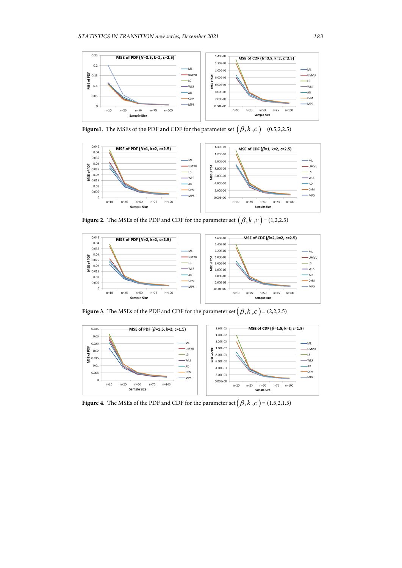

**Figure1**. The MSEs of the PDF and CDF for the parameter set  $(\beta, k, c) = (0.5, 2, 2.5)$ 



**Figure 2.** The MSEs of the PDF and CDF for the parameter set  $(\beta, k, c) = (1,2,2.5)$ 



**Figure 3**. The MSEs of the PDF and CDF for the parameter set  $(\beta, k, c) = (2,2,2.5)$ 



**Figure 4**. The MSEs of the PDF and CDF for the parameter set  $(\beta, k, c) = (1.5, 2, 1.5)$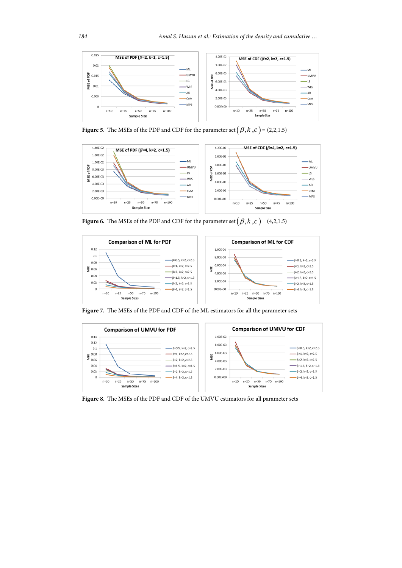

**Figure 5**. The MSEs of the PDF and CDF for the parameter set  $(\beta, k, c) = (2,2,1.5)$ 



**Figure 6.** The MSEs of the PDF and CDF for the parameter set  $(\beta, k, c) = (4,2,1.5)$ 



**Figure 7.** The MSEs of the PDF and CDF of the ML estimators for all the parameter sets



**Figure 8.** The MSEs of the PDF and CDF of the UMVU estimators for all parameter sets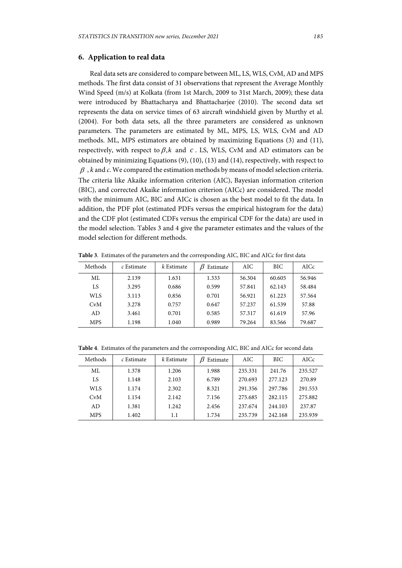## **6. Application to real data**

Real data sets are considered to compare between ML, LS, WLS, CvM, AD and MPS methods. The first data consist of 31 observations that represent the Average Monthly Wind Speed (m/s) at Kolkata (from 1st March, 2009 to 31st March, 2009); these data were introduced by Bhattacharya and Bhattacharjee (2010). The second data set represents the data on service times of 63 aircraft windshield given by Murthy et al. (2004). For both data sets, all the three parameters are considered as unknown parameters. The parameters are estimated by ML, MPS, LS, WLS, CvM and AD methods. ML, MPS estimators are obtained by maximizing Equations (3) and (11), respectively, with respect to  $\beta$ , *k* and *c*. LS, WLS, CvM and AD estimators can be obtained by minimizing Equations (9), (10), (13) and (14), respectively, with respect to  $\beta$ , *k* and *c*. We compared the estimation methods by means of model selection criteria. The criteria like Akaike information criterion (AIC), Bayesian information criterion (BIC), and corrected Akaike information criterion (AICc) are considered. The model with the minimum AIC, BIC and AICc is chosen as the best model to fit the data. In addition, the PDF plot (estimated PDFs versus the empirical histogram for the data) and the CDF plot (estimated CDFs versus the empirical CDF for the data) are used in the model selection. Tables 3 and 4 give the parameter estimates and the values of the model selection for different methods.

| Methods    | c Estimate | k Estimate | Estimate | AIC.   | BIC    | AICc   |
|------------|------------|------------|----------|--------|--------|--------|
| ML.        | 2.139      | 1.631      | 1.333    | 56.304 | 60.605 | 56.946 |
| LS         | 3.295      | 0.686      | 0.599    | 57.841 | 62.143 | 58.484 |
| WLS.       | 3.113      | 0.856      | 0.701    | 56.921 | 61.223 | 57.564 |
| CvM        | 3.278      | 0.757      | 0.647    | 57.237 | 61.539 | 57.88  |
| AD.        | 3.461      | 0.701      | 0.585    | 57.317 | 61.619 | 57.96  |
| <b>MPS</b> | 1.198      | 1.040      | 0.989    | 79.264 | 83.566 | 79.687 |

**Table 3**. Estimates of the parameters and the corresponding AIC, BIC and AICc for first data

**Table 4**. Estimates of the parameters and the corresponding AIC, BIC and AICc for second data

| Methods    | $c$ Estimate | k Estimate | Estimate | AIC     | <b>BIC</b> | AICc    |
|------------|--------------|------------|----------|---------|------------|---------|
| ML.        | 1.378        | 1.206      | 1.988    | 235.331 | 241.76     | 235.527 |
| LS         | 1.148        | 2.103      | 6.789    | 270.693 | 277.123    | 270.89  |
| WLS        | 1.174        | 2.302      | 8.321    | 291.356 | 297.786    | 291.553 |
| CvM        | 1.154        | 2.142      | 7.156    | 275.685 | 282.115    | 275.882 |
| AD.        | 1.381        | 1.242      | 2.456    | 237.674 | 244.103    | 237.87  |
| <b>MPS</b> | 1.402        | 1.1        | 1.734    | 235.739 | 242.168    | 235.939 |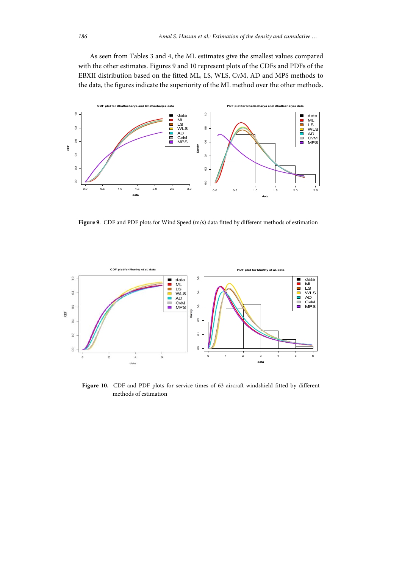As seen from Tables 3 and 4, the ML estimates give the smallest values compared with the other estimates. Figures 9 and 10 represent plots of the CDFs and PDFs of the EBXII distribution based on the fitted ML, LS, WLS, CvM, AD and MPS methods to the data, the figures indicate the superiority of the ML method over the other methods.



**Figure 9**. CDF and PDF plots for Wind Speed (m/s) data fitted by different methods of estimation



Figure 10. CDF and PDF plots for service times of 63 aircraft windshield fitted by different methods of estimation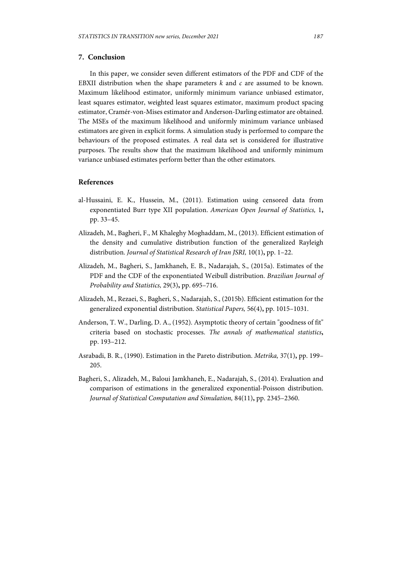## **7. Conclusion**

In this paper, we consider seven different estimators of the PDF and CDF of the EBXII distribution when the shape parameters *k* and *c* are assumed to be known. Maximum likelihood estimator, uniformly minimum variance unbiased estimator, least squares estimator, weighted least squares estimator, maximum product spacing estimator, Cramér-von-Mises estimator and Anderson-Darling estimator are obtained. The MSEs of the maximum likelihood and uniformly minimum variance unbiased estimators are given in explicit forms. A simulation study is performed to compare the behaviours of the proposed estimates. A real data set is considered for illustrative purposes. The results show that the maximum likelihood and uniformly minimum variance unbiased estimates perform better than the other estimators.

## **References**

- al-Hussaini, E. K., Hussein, M., (2011). Estimation using censored data from exponentiated Burr type XII population. *American Open Journal of Statistics,* 1**,** pp. 33–45.
- Alizadeh, M., Bagheri, F., M Khaleghy Moghaddam, M., (2013). Efficient estimation of the density and cumulative distribution function of the generalized Rayleigh distribution. *Journal of Statistical Research of Iran JSRI,* 10(1)**,** pp. 1–22.
- Alizadeh, M., Bagheri, S., Jamkhaneh, E. B., Nadarajah, S., (2015a). Estimates of the PDF and the CDF of the exponentiated Weibull distribution. *Brazilian Journal of Probability and Statistics,* 29(3)**,** pp. 695–716.
- Alizadeh, M., Rezaei, S., Bagheri, S., Nadarajah, S., (2015b). Efficient estimation for the generalized exponential distribution. *Statistical Papers,* 56(4)**,** pp. 1015–1031.
- Anderson, T. W., Darling, D. A., (1952). Asymptotic theory of certain "goodness of fit" criteria based on stochastic processes. *The annals of mathematical statistics***,** pp. 193–212.
- Asrabadi, B. R., (1990). Estimation in the Pareto distribution. *Metrika,* 37(1)**,** pp. 199– 205.
- Bagheri, S., Alizadeh, M., Baloui Jamkhaneh, E., Nadarajah, S., (2014). Evaluation and comparison of estimations in the generalized exponential-Poisson distribution. *Journal of Statistical Computation and Simulation,* 84(11)**,** pp. 2345–2360.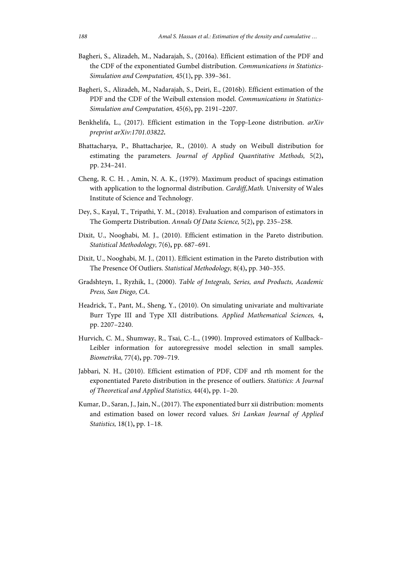- Bagheri, S., Alizadeh, M., Nadarajah, S., (2016a). Efficient estimation of the PDF and the CDF of the exponentiated Gumbel distribution. *Communications in Statistics-Simulation and Computation,* 45(1)**,** pp. 339–361.
- Bagheri, S., Alizadeh, M., Nadarajah, S., Deiri, E., (2016b). Efficient estimation of the PDF and the CDF of the Weibull extension model. *Communications in Statistics-Simulation and Computation,* 45(6)**,** pp. 2191–2207.
- Benkhelifa, L., (2017). Efficient estimation in the Topp-Leone distribution. *arXiv preprint arXiv:1701.03822***.**
- Bhattacharya, P., Bhattacharjee, R., (2010). A study on Weibull distribution for estimating the parameters. *Journal of Applied Quantitative Methods,* 5(2)**,** pp. 234–241.
- Cheng, R. C. H. , Amin, N. A. K., (1979). Maximum product of spacings estimation with application to the lognormal distribution. *Cardiff,Math.* University of Wales Institute of Science and Technology.
- Dey, S., Kayal, T., Tripathi, Y. M., (2018). Evaluation and comparison of estimators in The Gompertz Distribution. *Annals Of Data Science,* 5(2)**,** pp. 235–258.
- Dixit, U., Nooghabi, M. J., (2010). Efficient estimation in the Pareto distribution. *Statistical Methodology,* 7(6)**,** pp. 687–691.
- Dixit, U., Nooghabi, M. J., (2011). Efficient estimation in the Pareto distribution with The Presence Of Outliers. *Statistical Methodology,* 8(4)**,** pp. 340–355.
- Gradshteyn, I., Ryzhik, I., (2000). *Table of Integrals, Series, and Products, Academic Press, San Diego, CA*.
- Headrick, T., Pant, M., Sheng, Y., (2010). On simulating univariate and multivariate Burr Type III and Type XII distributions. *Applied Mathematical Sciences,* 4**,** pp. 2207–2240.
- Hurvich, C. M., Shumway, R., Tsai, C.-L., (1990). Improved estimators of Kullback– Leibler information for autoregressive model selection in small samples. *Biometrika,* 77(4)**,** pp. 709–719.
- Jabbari, N. H., (2010). Efficient estimation of PDF, CDF and rth moment for the exponentiated Pareto distribution in the presence of outliers. *Statistics: A Journal of Theoretical and Applied Statistics,* 44(4)**,** pp. 1–20.
- Kumar, D., Saran, J., Jain, N., (2017). The exponentiated burr xii distribution: moments and estimation based on lower record values. *Sri Lankan Journal of Applied Statistics,* 18(1)**,** pp. 1–18.